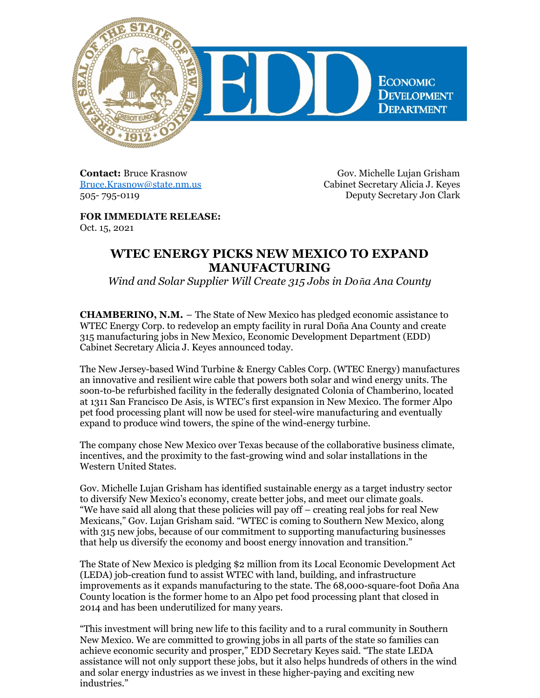

**Contact:** Bruce Krasnow [Bruce.Krasnow@state.nm.us](mailto:Bruce.Krasnow@state.nm.us) 505- 795-0119

Gov. Michelle Lujan Grisham Cabinet Secretary Alicia J. Keyes Deputy Secretary Jon Clark

**FOR IMMEDIATE RELEASE:** Oct. 15, 2021

## **WTEC ENERGY PICKS NEW MEXICO TO EXPAND MANUFACTURING**

*Wind and Solar Supplier Will Create 315 Jobs in Doña Ana County*

**CHAMBERINO, N.M.** – The State of New Mexico has pledged economic assistance to WTEC Energy Corp. to redevelop an empty facility in rural Doña Ana County and create 315 manufacturing jobs in New Mexico, Economic Development Department (EDD) Cabinet Secretary Alicia J. Keyes announced today.

The New Jersey-based Wind Turbine & Energy Cables Corp. (WTEC Energy) manufactures an innovative and resilient wire cable that powers both solar and wind energy units. The soon-to-be refurbished facility in the federally designated Colonia of Chamberino, located at 1311 San Francisco De Asis, is WTEC's first expansion in New Mexico. The former Alpo pet food processing plant will now be used for steel-wire manufacturing and eventually expand to produce wind towers, the spine of the wind-energy turbine.

The company chose New Mexico over Texas because of the collaborative business climate, incentives, and the proximity to the fast-growing wind and solar installations in the Western United States.

Gov. Michelle Lujan Grisham has identified sustainable energy as a target industry sector to diversify New Mexico's economy, create better jobs, and meet our climate goals. "We have said all along that these policies will pay off – creating real jobs for real New Mexicans," Gov. Lujan Grisham said. "WTEC is coming to Southern New Mexico, along with 315 new jobs, because of our commitment to supporting manufacturing businesses that help us diversify the economy and boost energy innovation and transition."

The State of New Mexico is pledging \$2 million from its Local Economic Development Act (LEDA) job-creation fund to assist WTEC with land, building, and infrastructure improvements as it expands manufacturing to the state. The 68,000-square-foot Doña Ana County location is the former home to an Alpo pet food processing plant that closed in 2014 and has been underutilized for many years.

"This investment will bring new life to this facility and to a rural community in Southern New Mexico. We are committed to growing jobs in all parts of the state so families can achieve economic security and prosper," EDD Secretary Keyes said. "The state LEDA assistance will not only support these jobs, but it also helps hundreds of others in the wind and solar energy industries as we invest in these higher-paying and exciting new industries."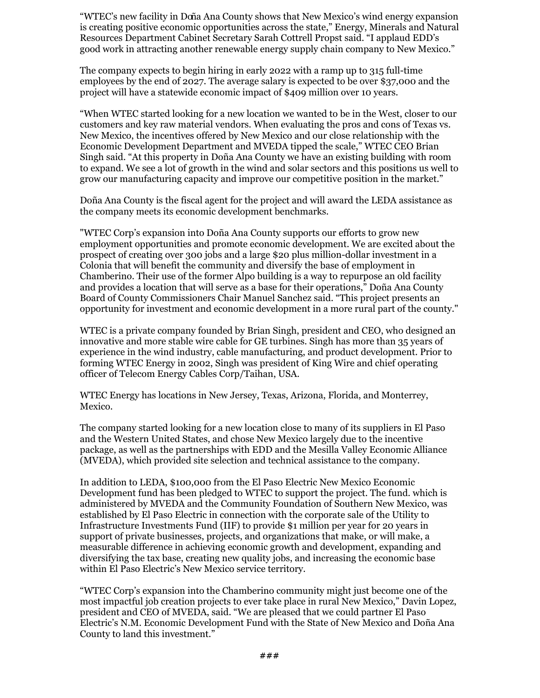"WTEC's new facility in Doña Ana County shows that New Mexico's wind energy expansion is creating positive economic opportunities across the state," Energy, Minerals and Natural Resources Department Cabinet Secretary Sarah Cottrell Propst said. "I applaud EDD's good work in attracting another renewable energy supply chain company to New Mexico."

The company expects to begin hiring in early 2022 with a ramp up to 315 full-time employees by the end of 2027. The average salary is expected to be over \$37,000 and the project will have a statewide economic impact of \$409 million over 10 years.

"When WTEC started looking for a new location we wanted to be in the West, closer to our customers and key raw material vendors. When evaluating the pros and cons of Texas vs. New Mexico, the incentives offered by New Mexico and our close relationship with the Economic Development Department and MVEDA tipped the scale," WTEC CEO Brian Singh said. "At this property in Doña Ana County we have an existing building with room to expand. We see a lot of growth in the wind and solar sectors and this positions us well to grow our manufacturing capacity and improve our competitive position in the market."

Doña Ana County is the fiscal agent for the project and will award the LEDA assistance as the company meets its economic development benchmarks.

"WTEC Corp's expansion into Doña Ana County supports our efforts to grow new employment opportunities and promote economic development. We are excited about the prospect of creating over 300 jobs and a large \$20 plus million-dollar investment in a Colonia that will benefit the community and diversify the base of employment in Chamberino. Their use of the former Alpo building is a way to repurpose an old facility and provides a location that will serve as a base for their operations," Doña Ana County Board of County Commissioners Chair Manuel Sanchez said. "This project presents an opportunity for investment and economic development in a more rural part of the county."

WTEC is a private company founded by Brian Singh, president and CEO, who designed an innovative and more stable wire cable for GE turbines. Singh has more than 35 years of experience in the wind industry, cable manufacturing, and product development. Prior to forming WTEC Energy in 2002, Singh was president of King Wire and chief operating officer of Telecom Energy Cables Corp/Taihan, USA.

WTEC Energy has locations in New Jersey, Texas, Arizona, Florida, and Monterrey, Mexico.

The company started looking for a new location close to many of its suppliers in El Paso and the Western United States, and chose New Mexico largely due to the incentive package, as well as the partnerships with EDD and the Mesilla Valley Economic Alliance (MVEDA), which provided site selection and technical assistance to the company.

In addition to LEDA, \$100,000 from the El Paso Electric New Mexico Economic Development fund has been pledged to WTEC to support the project. The fund. which is administered by MVEDA and the Community Foundation of Southern New Mexico, was established by El Paso Electric in connection with the corporate sale of the Utility to Infrastructure Investments Fund (IIF) to provide \$1 million per year for 20 years in support of private businesses, projects, and organizations that make, or will make, a measurable difference in achieving economic growth and development, expanding and diversifying the tax base, creating new quality jobs, and increasing the economic base within El Paso Electric's New Mexico service territory.

"WTEC Corp's expansion into the Chamberino community might just become one of the most impactful job creation projects to ever take place in rural New Mexico," Davin Lopez, president and CEO of MVEDA, said. "We are pleased that we could partner El Paso Electric's N.M. Economic Development Fund with the State of New Mexico and Doña Ana County to land this investment."